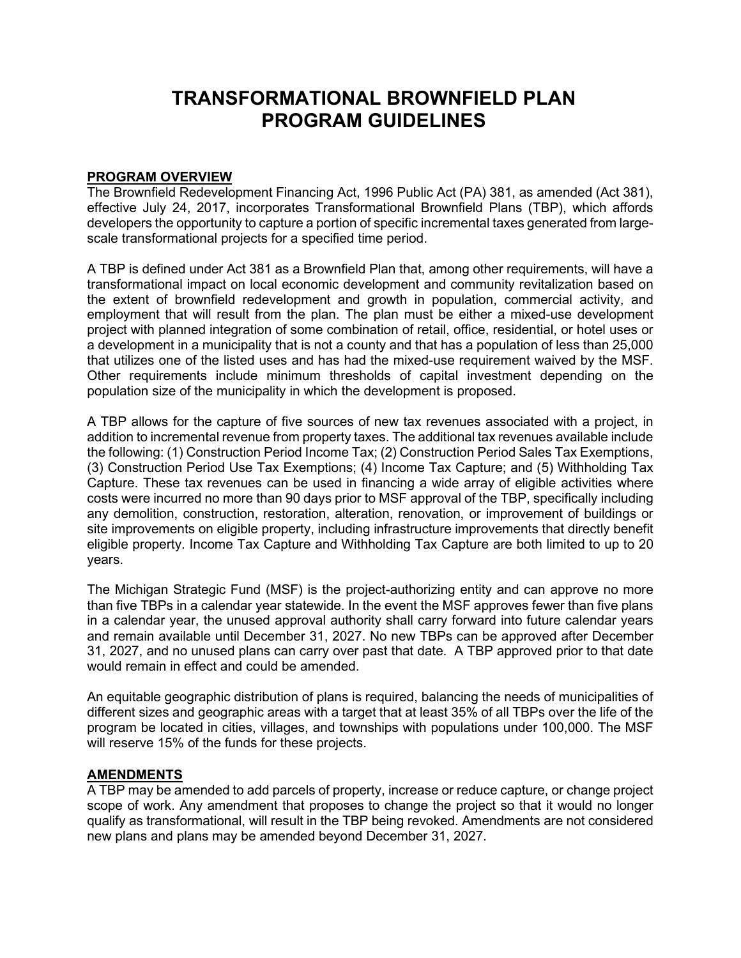# **TRANSFORMATIONAL BROWNFIELD PLAN PROGRAM GUIDELINES**

#### **PROGRAM OVERVIEW**

The Brownfield Redevelopment Financing Act, 1996 Public Act (PA) 381, as amended (Act 381), effective July 24, 2017, incorporates Transformational Brownfield Plans (TBP), which affords developers the opportunity to capture a portion of specific incremental taxes generated from largescale transformational projects for a specified time period.

A TBP is defined under Act 381 as a Brownfield Plan that, among other requirements, will have a transformational impact on local economic development and community revitalization based on the extent of brownfield redevelopment and growth in population, commercial activity, and employment that will result from the plan. The plan must be either a mixed-use development project with planned integration of some combination of retail, office, residential, or hotel uses or a development in a municipality that is not a county and that has a population of less than 25,000 that utilizes one of the listed uses and has had the mixed-use requirement waived by the MSF. Other requirements include minimum thresholds of capital investment depending on the population size of the municipality in which the development is proposed.

A TBP allows for the capture of five sources of new tax revenues associated with a project, in addition to incremental revenue from property taxes. The additional tax revenues available include the following: (1) Construction Period Income Tax; (2) Construction Period Sales Tax Exemptions, (3) Construction Period Use Tax Exemptions; (4) Income Tax Capture; and (5) Withholding Tax Capture. These tax revenues can be used in financing a wide array of eligible activities where costs were incurred no more than 90 days prior to MSF approval of the TBP, specifically including any demolition, construction, restoration, alteration, renovation, or improvement of buildings or site improvements on eligible property, including infrastructure improvements that directly benefit eligible property. Income Tax Capture and Withholding Tax Capture are both limited to up to 20 years.

The Michigan Strategic Fund (MSF) is the project-authorizing entity and can approve no more than five TBPs in a calendar year statewide. In the event the MSF approves fewer than five plans in a calendar year, the unused approval authority shall carry forward into future calendar years and remain available until December 31, 2027. No new TBPs can be approved after December 31, 2027, and no unused plans can carry over past that date. A TBP approved prior to that date would remain in effect and could be amended.

An equitable geographic distribution of plans is required, balancing the needs of municipalities of different sizes and geographic areas with a target that at least 35% of all TBPs over the life of the program be located in cities, villages, and townships with populations under 100,000. The MSF will reserve 15% of the funds for these projects.

## **AMENDMENTS**

A TBP may be amended to add parcels of property, increase or reduce capture, or change project scope of work. Any amendment that proposes to change the project so that it would no longer qualify as transformational, will result in the TBP being revoked. Amendments are not considered new plans and plans may be amended beyond December 31, 2027.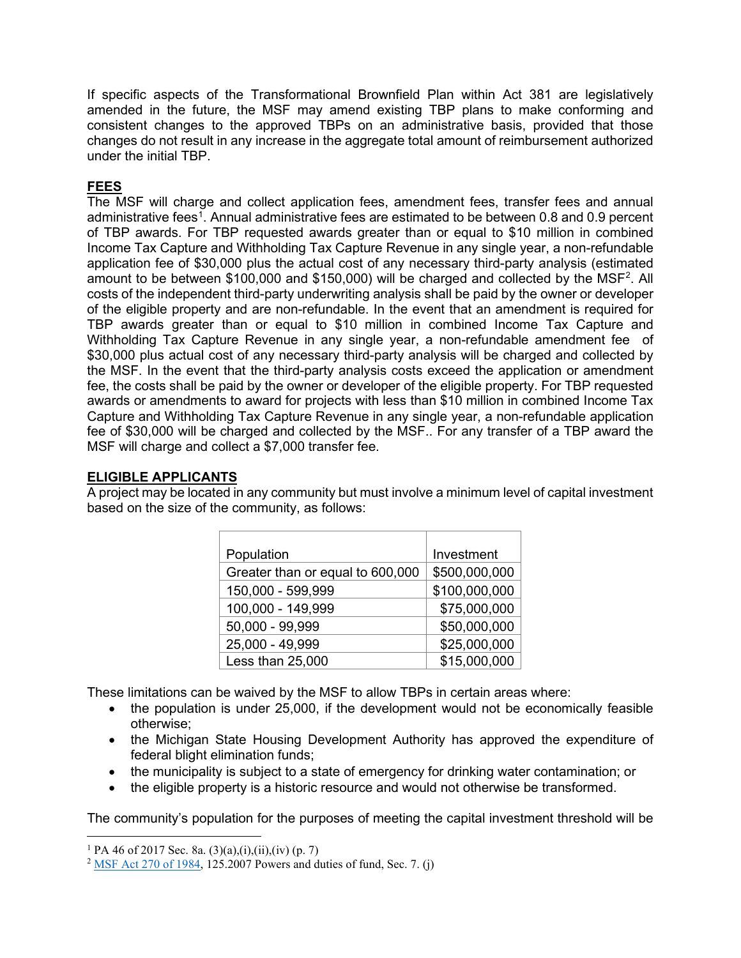If specific aspects of the Transformational Brownfield Plan within Act 381 are legislatively amended in the future, the MSF may amend existing TBP plans to make conforming and consistent changes to the approved TBPs on an administrative basis, provided that those changes do not result in any increase in the aggregate total amount of reimbursement authorized under the initial TBP.

# **FEES**

The MSF will charge and collect application fees, amendment fees, transfer fees and annual administrative fees<sup>[1](#page-1-0)</sup>. Annual administrative fees are estimated to be between 0.8 and 0.9 percent of TBP awards. For TBP requested awards greater than or equal to \$10 million in combined Income Tax Capture and Withholding Tax Capture Revenue in any single year, a non-refundable application fee of \$30,000 plus the actual cost of any necessary third-party analysis (estimated amount to be between \$100,000 and \$150,000) will be charged and collected by the MSF<sup>[2](#page-1-1)</sup>. All costs of the independent third-party underwriting analysis shall be paid by the owner or developer of the eligible property and are non-refundable. In the event that an amendment is required for TBP awards greater than or equal to \$10 million in combined Income Tax Capture and Withholding Tax Capture Revenue in any single year, a non-refundable amendment fee of \$30,000 plus actual cost of any necessary third-party analysis will be charged and collected by the MSF. In the event that the third-party analysis costs exceed the application or amendment fee, the costs shall be paid by the owner or developer of the eligible property. For TBP requested awards or amendments to award for projects with less than \$10 million in combined Income Tax Capture and Withholding Tax Capture Revenue in any single year, a non-refundable application fee of \$30,000 will be charged and collected by the MSF.. For any transfer of a TBP award the MSF will charge and collect a \$7,000 transfer fee.

## **ELIGIBLE APPLICANTS**

A project may be located in any community but must involve a minimum level of capital investment based on the size of the community, as follows:

| Population                       | Investment    |
|----------------------------------|---------------|
| Greater than or equal to 600,000 | \$500,000,000 |
| 150,000 - 599,999                | \$100,000,000 |
| 100,000 - 149,999                | \$75,000,000  |
| 50,000 - 99,999                  | \$50,000,000  |
| 25,000 - 49,999                  | \$25,000,000  |
| Less than 25,000                 | \$15,000,000  |

These limitations can be waived by the MSF to allow TBPs in certain areas where:

- the population is under 25,000, if the development would not be economically feasible otherwise;
- the Michigan State Housing Development Authority has approved the expenditure of federal blight elimination funds;
- the municipality is subject to a state of emergency for drinking water contamination; or
- the eligible property is a historic resource and would not otherwise be transformed.

The community's population for the purposes of meeting the capital investment threshold will be

<span id="page-1-0"></span><sup>&</sup>lt;sup>1</sup> PA 46 of 2017 Sec. 8a.  $(3)(a)$ , $(i)$ , $(ii)$ , $(iv)$  (p. 7)

<span id="page-1-1"></span><sup>&</sup>lt;sup>2</sup> [MSF Act 270 of 1984,](http://www.legislature.mi.gov/(S(vaqlef2piwz12zmytd4bm3js))/mileg.aspx?page=getObject&objectName=mcl-125-2007) 125.2007 Powers and duties of fund, Sec. 7. (j)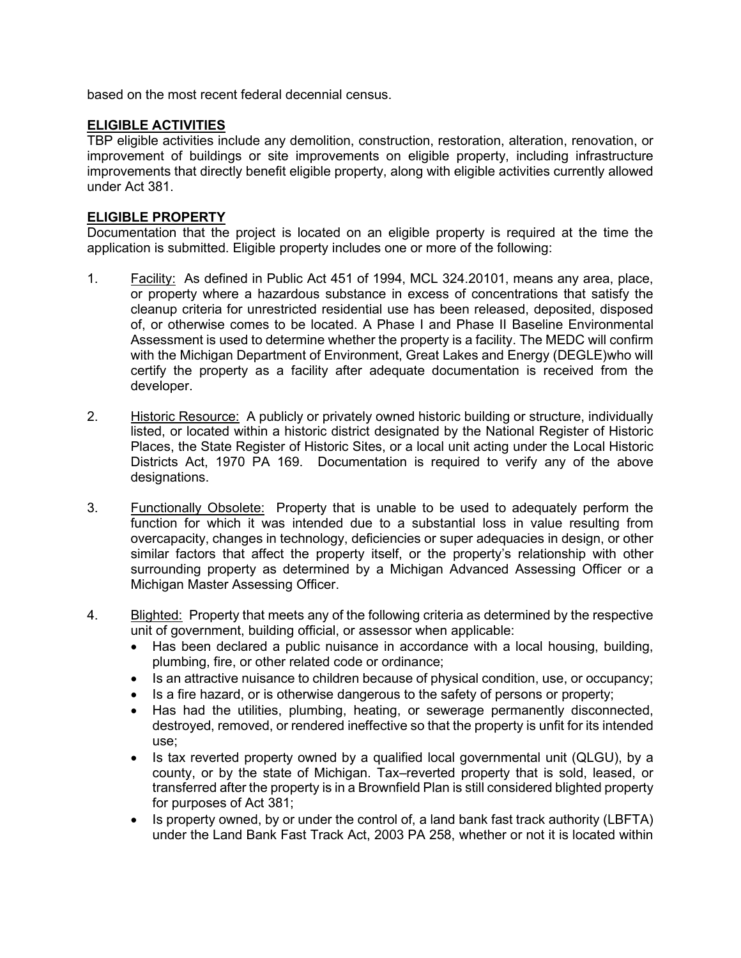based on the most recent federal decennial census.

## **ELIGIBLE ACTIVITIES**

TBP eligible activities include any demolition, construction, restoration, alteration, renovation, or improvement of buildings or site improvements on eligible property, including infrastructure improvements that directly benefit eligible property, along with eligible activities currently allowed under Act 381.

#### **ELIGIBLE PROPERTY**

Documentation that the project is located on an eligible property is required at the time the application is submitted. Eligible property includes one or more of the following:

- 1. Facility: As defined in Public Act 451 of 1994, MCL 324.20101, means any area, place, or property where a hazardous substance in excess of concentrations that satisfy the cleanup criteria for unrestricted residential use has been released, deposited, disposed of, or otherwise comes to be located. A Phase I and Phase II Baseline Environmental Assessment is used to determine whether the property is a facility. The MEDC will confirm with the Michigan Department of Environment, Great Lakes and Energy (DEGLE)who will certify the property as a facility after adequate documentation is received from the developer.
- 2. Historic Resource: A publicly or privately owned historic building or structure, individually listed, or located within a historic district designated by the National Register of Historic Places, the State Register of Historic Sites, or a local unit acting under the Local Historic Districts Act, 1970 PA 169. Documentation is required to verify any of the above designations.
- 3. Functionally Obsolete: Property that is unable to be used to adequately perform the function for which it was intended due to a substantial loss in value resulting from overcapacity, changes in technology, deficiencies or super adequacies in design, or other similar factors that affect the property itself, or the property's relationship with other surrounding property as determined by a Michigan Advanced Assessing Officer or a Michigan Master Assessing Officer.
- 4. Blighted: Property that meets any of the following criteria as determined by the respective unit of government, building official, or assessor when applicable:
	- Has been declared a public nuisance in accordance with a local housing, building, plumbing, fire, or other related code or ordinance;
	- Is an attractive nuisance to children because of physical condition, use, or occupancy;
	- Is a fire hazard, or is otherwise dangerous to the safety of persons or property;
	- Has had the utilities, plumbing, heating, or sewerage permanently disconnected, destroyed, removed, or rendered ineffective so that the property is unfit for its intended use;
	- Is tax reverted property owned by a qualified local governmental unit (QLGU), by a county, or by the state of Michigan. Tax–reverted property that is sold, leased, or transferred after the property is in a Brownfield Plan is still considered blighted property for purposes of Act 381;
	- Is property owned, by or under the control of, a land bank fast track authority (LBFTA) under the Land Bank Fast Track Act, 2003 PA 258, whether or not it is located within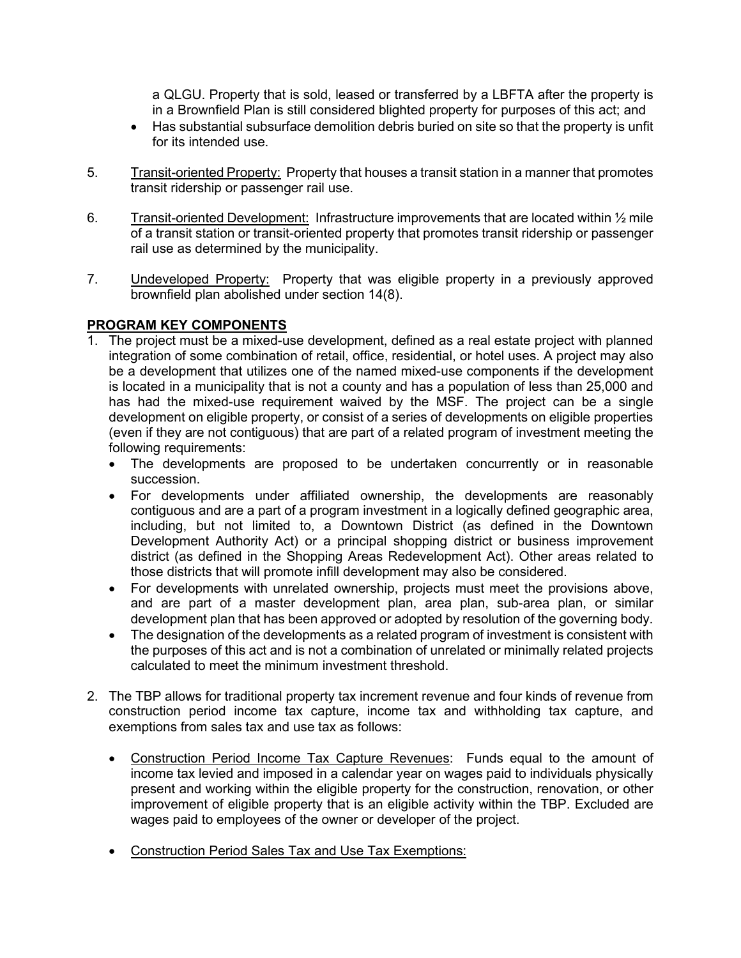a QLGU. Property that is sold, leased or transferred by a LBFTA after the property is in a Brownfield Plan is still considered blighted property for purposes of this act; and

- Has substantial subsurface demolition debris buried on site so that the property is unfit for its intended use.
- 5. Transit-oriented Property: Property that houses a transit station in a manner that promotes transit ridership or passenger rail use.
- 6. Transit-oriented Development: Infrastructure improvements that are located within 1/2 mile of a transit station or transit-oriented property that promotes transit ridership or passenger rail use as determined by the municipality.
- 7. Undeveloped Property: Property that was eligible property in a previously approved brownfield plan abolished under section 14(8).

# **PROGRAM KEY COMPONENTS**

- 1. The project must be a mixed-use development, defined as a real estate project with planned integration of some combination of retail, office, residential, or hotel uses. A project may also be a development that utilizes one of the named mixed-use components if the development is located in a municipality that is not a county and has a population of less than 25,000 and has had the mixed-use requirement waived by the MSF. The project can be a single development on eligible property, or consist of a series of developments on eligible properties (even if they are not contiguous) that are part of a related program of investment meeting the following requirements:
	- The developments are proposed to be undertaken concurrently or in reasonable succession.
	- For developments under affiliated ownership, the developments are reasonably contiguous and are a part of a program investment in a logically defined geographic area, including, but not limited to, a Downtown District (as defined in the Downtown Development Authority Act) or a principal shopping district or business improvement district (as defined in the Shopping Areas Redevelopment Act). Other areas related to those districts that will promote infill development may also be considered.
	- For developments with unrelated ownership, projects must meet the provisions above, and are part of a master development plan, area plan, sub-area plan, or similar development plan that has been approved or adopted by resolution of the governing body.
	- The designation of the developments as a related program of investment is consistent with the purposes of this act and is not a combination of unrelated or minimally related projects calculated to meet the minimum investment threshold.
- 2. The TBP allows for traditional property tax increment revenue and four kinds of revenue from construction period income tax capture, income tax and withholding tax capture, and exemptions from sales tax and use tax as follows:
	- Construction Period Income Tax Capture Revenues: Funds equal to the amount of income tax levied and imposed in a calendar year on wages paid to individuals physically present and working within the eligible property for the construction, renovation, or other improvement of eligible property that is an eligible activity within the TBP. Excluded are wages paid to employees of the owner or developer of the project.
	- Construction Period Sales Tax and Use Tax Exemptions: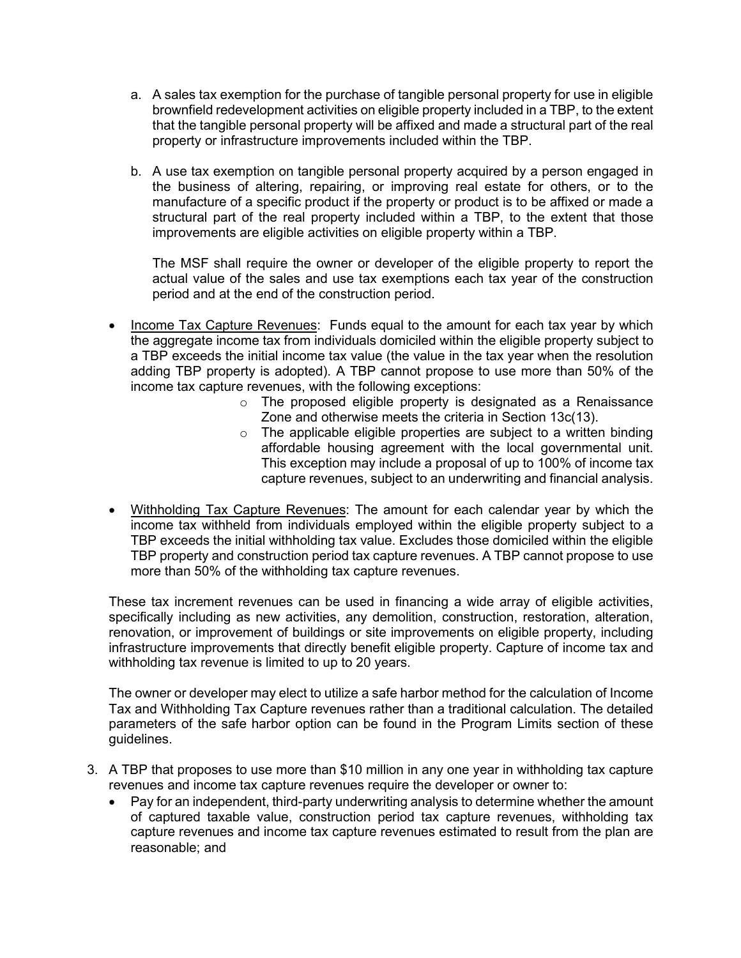- a. A sales tax exemption for the purchase of tangible personal property for use in eligible brownfield redevelopment activities on eligible property included in a TBP, to the extent that the tangible personal property will be affixed and made a structural part of the real property or infrastructure improvements included within the TBP.
- b. A use tax exemption on tangible personal property acquired by a person engaged in the business of altering, repairing, or improving real estate for others, or to the manufacture of a specific product if the property or product is to be affixed or made a structural part of the real property included within a TBP, to the extent that those improvements are eligible activities on eligible property within a TBP.

The MSF shall require the owner or developer of the eligible property to report the actual value of the sales and use tax exemptions each tax year of the construction period and at the end of the construction period.

- Income Tax Capture Revenues: Funds equal to the amount for each tax year by which the aggregate income tax from individuals domiciled within the eligible property subject to a TBP exceeds the initial income tax value (the value in the tax year when the resolution adding TBP property is adopted). A TBP cannot propose to use more than 50% of the income tax capture revenues, with the following exceptions:
	- o The proposed eligible property is designated as a Renaissance Zone and otherwise meets the criteria in Section 13c(13).
	- $\circ$  The applicable eligible properties are subject to a written binding affordable housing agreement with the local governmental unit. This exception may include a proposal of up to 100% of income tax capture revenues, subject to an underwriting and financial analysis.
- Withholding Tax Capture Revenues: The amount for each calendar year by which the income tax withheld from individuals employed within the eligible property subject to a TBP exceeds the initial withholding tax value. Excludes those domiciled within the eligible TBP property and construction period tax capture revenues. A TBP cannot propose to use more than 50% of the withholding tax capture revenues.

These tax increment revenues can be used in financing a wide array of eligible activities, specifically including as new activities, any demolition, construction, restoration, alteration, renovation, or improvement of buildings or site improvements on eligible property, including infrastructure improvements that directly benefit eligible property. Capture of income tax and withholding tax revenue is limited to up to 20 years.

The owner or developer may elect to utilize a safe harbor method for the calculation of Income Tax and Withholding Tax Capture revenues rather than a traditional calculation. The detailed parameters of the safe harbor option can be found in the Program Limits section of these guidelines.

- 3. A TBP that proposes to use more than \$10 million in any one year in withholding tax capture revenues and income tax capture revenues require the developer or owner to:
	- Pay for an independent, third-party underwriting analysis to determine whether the amount of captured taxable value, construction period tax capture revenues, withholding tax capture revenues and income tax capture revenues estimated to result from the plan are reasonable; and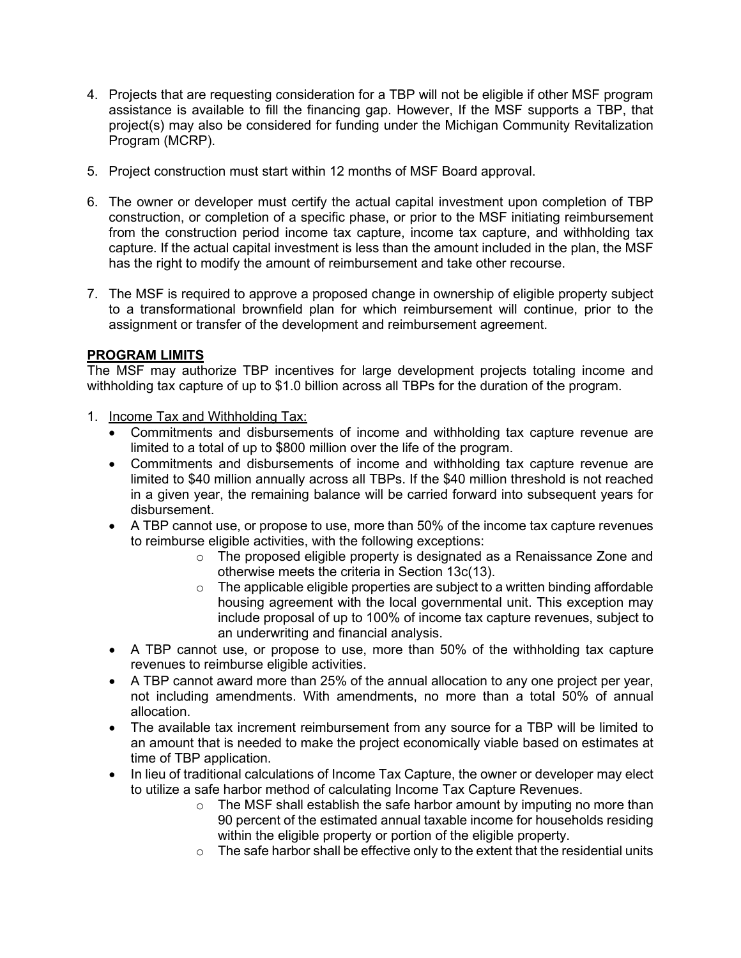- 4. Projects that are requesting consideration for a TBP will not be eligible if other MSF program assistance is available to fill the financing gap. However, If the MSF supports a TBP, that project(s) may also be considered for funding under the Michigan Community Revitalization Program (MCRP).
- 5. Project construction must start within 12 months of MSF Board approval.
- 6. The owner or developer must certify the actual capital investment upon completion of TBP construction, or completion of a specific phase, or prior to the MSF initiating reimbursement from the construction period income tax capture, income tax capture, and withholding tax capture. If the actual capital investment is less than the amount included in the plan, the MSF has the right to modify the amount of reimbursement and take other recourse.
- 7. The MSF is required to approve a proposed change in ownership of eligible property subject to a transformational brownfield plan for which reimbursement will continue, prior to the assignment or transfer of the development and reimbursement agreement.

# **PROGRAM LIMITS**

The MSF may authorize TBP incentives for large development projects totaling income and withholding tax capture of up to \$1.0 billion across all TBPs for the duration of the program.

- 1. Income Tax and Withholding Tax:
	- Commitments and disbursements of income and withholding tax capture revenue are limited to a total of up to \$800 million over the life of the program.
	- Commitments and disbursements of income and withholding tax capture revenue are limited to \$40 million annually across all TBPs. If the \$40 million threshold is not reached in a given year, the remaining balance will be carried forward into subsequent years for disbursement.
	- A TBP cannot use, or propose to use, more than 50% of the income tax capture revenues to reimburse eligible activities, with the following exceptions:
		- o The proposed eligible property is designated as a Renaissance Zone and otherwise meets the criteria in Section 13c(13).
		- $\circ$  The applicable eligible properties are subject to a written binding affordable housing agreement with the local governmental unit. This exception may include proposal of up to 100% of income tax capture revenues, subject to an underwriting and financial analysis.
	- A TBP cannot use, or propose to use, more than 50% of the withholding tax capture revenues to reimburse eligible activities.
	- A TBP cannot award more than 25% of the annual allocation to any one project per year, not including amendments. With amendments, no more than a total 50% of annual allocation.
	- The available tax increment reimbursement from any source for a TBP will be limited to an amount that is needed to make the project economically viable based on estimates at time of TBP application.
	- In lieu of traditional calculations of Income Tax Capture, the owner or developer may elect to utilize a safe harbor method of calculating Income Tax Capture Revenues.
		- o The MSF shall establish the safe harbor amount by imputing no more than 90 percent of the estimated annual taxable income for households residing within the eligible property or portion of the eligible property.
		- $\circ$  The safe harbor shall be effective only to the extent that the residential units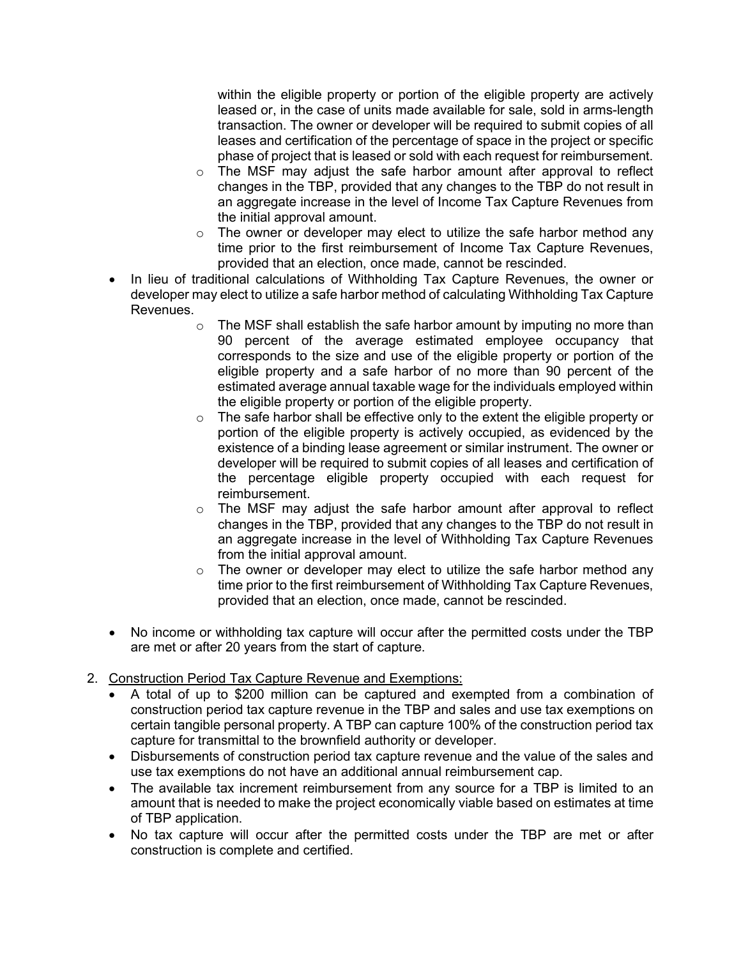within the eligible property or portion of the eligible property are actively leased or, in the case of units made available for sale, sold in arms-length transaction. The owner or developer will be required to submit copies of all leases and certification of the percentage of space in the project or specific phase of project that is leased or sold with each request for reimbursement.

- $\circ$  The MSF may adjust the safe harbor amount after approval to reflect changes in the TBP, provided that any changes to the TBP do not result in an aggregate increase in the level of Income Tax Capture Revenues from the initial approval amount.
- $\circ$  The owner or developer may elect to utilize the safe harbor method any time prior to the first reimbursement of Income Tax Capture Revenues, provided that an election, once made, cannot be rescinded.
- In lieu of traditional calculations of Withholding Tax Capture Revenues, the owner or developer may elect to utilize a safe harbor method of calculating Withholding Tax Capture Revenues.
	- $\circ$  The MSF shall establish the safe harbor amount by imputing no more than 90 percent of the average estimated employee occupancy that corresponds to the size and use of the eligible property or portion of the eligible property and a safe harbor of no more than 90 percent of the estimated average annual taxable wage for the individuals employed within the eligible property or portion of the eligible property.
	- o The safe harbor shall be effective only to the extent the eligible property or portion of the eligible property is actively occupied, as evidenced by the existence of a binding lease agreement or similar instrument. The owner or developer will be required to submit copies of all leases and certification of the percentage eligible property occupied with each request for reimbursement.
	- $\circ$  The MSF may adjust the safe harbor amount after approval to reflect changes in the TBP, provided that any changes to the TBP do not result in an aggregate increase in the level of Withholding Tax Capture Revenues from the initial approval amount.
	- $\circ$  The owner or developer may elect to utilize the safe harbor method any time prior to the first reimbursement of Withholding Tax Capture Revenues, provided that an election, once made, cannot be rescinded.
- No income or withholding tax capture will occur after the permitted costs under the TBP are met or after 20 years from the start of capture.
- 2. Construction Period Tax Capture Revenue and Exemptions:
	- A total of up to \$200 million can be captured and exempted from a combination of construction period tax capture revenue in the TBP and sales and use tax exemptions on certain tangible personal property. A TBP can capture 100% of the construction period tax capture for transmittal to the brownfield authority or developer.
	- Disbursements of construction period tax capture revenue and the value of the sales and use tax exemptions do not have an additional annual reimbursement cap.
	- The available tax increment reimbursement from any source for a TBP is limited to an amount that is needed to make the project economically viable based on estimates at time of TBP application.
	- No tax capture will occur after the permitted costs under the TBP are met or after construction is complete and certified.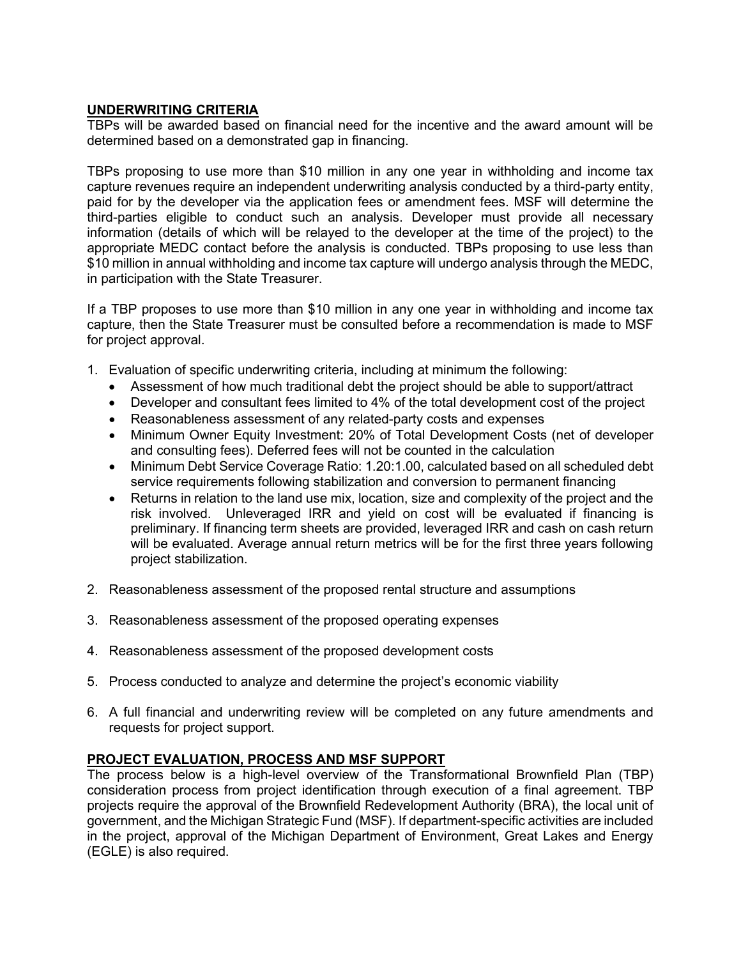#### **UNDERWRITING CRITERIA**

TBPs will be awarded based on financial need for the incentive and the award amount will be determined based on a demonstrated gap in financing.

TBPs proposing to use more than \$10 million in any one year in withholding and income tax capture revenues require an independent underwriting analysis conducted by a third-party entity, paid for by the developer via the application fees or amendment fees. MSF will determine the third-parties eligible to conduct such an analysis. Developer must provide all necessary information (details of which will be relayed to the developer at the time of the project) to the appropriate MEDC contact before the analysis is conducted. TBPs proposing to use less than \$10 million in annual withholding and income tax capture will undergo analysis through the MEDC, in participation with the State Treasurer.

If a TBP proposes to use more than \$10 million in any one year in withholding and income tax capture, then the State Treasurer must be consulted before a recommendation is made to MSF for project approval.

- 1. Evaluation of specific underwriting criteria, including at minimum the following:
	- Assessment of how much traditional debt the project should be able to support/attract
	- Developer and consultant fees limited to 4% of the total development cost of the project
	- Reasonableness assessment of any related-party costs and expenses
	- Minimum Owner Equity Investment: 20% of Total Development Costs (net of developer and consulting fees). Deferred fees will not be counted in the calculation
	- Minimum Debt Service Coverage Ratio: 1.20:1.00, calculated based on all scheduled debt service requirements following stabilization and conversion to permanent financing
	- Returns in relation to the land use mix, location, size and complexity of the project and the risk involved. Unleveraged IRR and yield on cost will be evaluated if financing is preliminary. If financing term sheets are provided, leveraged IRR and cash on cash return will be evaluated. Average annual return metrics will be for the first three years following project stabilization.
- 2. Reasonableness assessment of the proposed rental structure and assumptions
- 3. Reasonableness assessment of the proposed operating expenses
- 4. Reasonableness assessment of the proposed development costs
- 5. Process conducted to analyze and determine the project's economic viability
- 6. A full financial and underwriting review will be completed on any future amendments and requests for project support.

#### **PROJECT EVALUATION, PROCESS AND MSF SUPPORT**

The process below is a high-level overview of the Transformational Brownfield Plan (TBP) consideration process from project identification through execution of a final agreement. TBP projects require the approval of the Brownfield Redevelopment Authority (BRA), the local unit of government, and the Michigan Strategic Fund (MSF). If department-specific activities are included in the project, approval of the Michigan Department of Environment, Great Lakes and Energy (EGLE) is also required.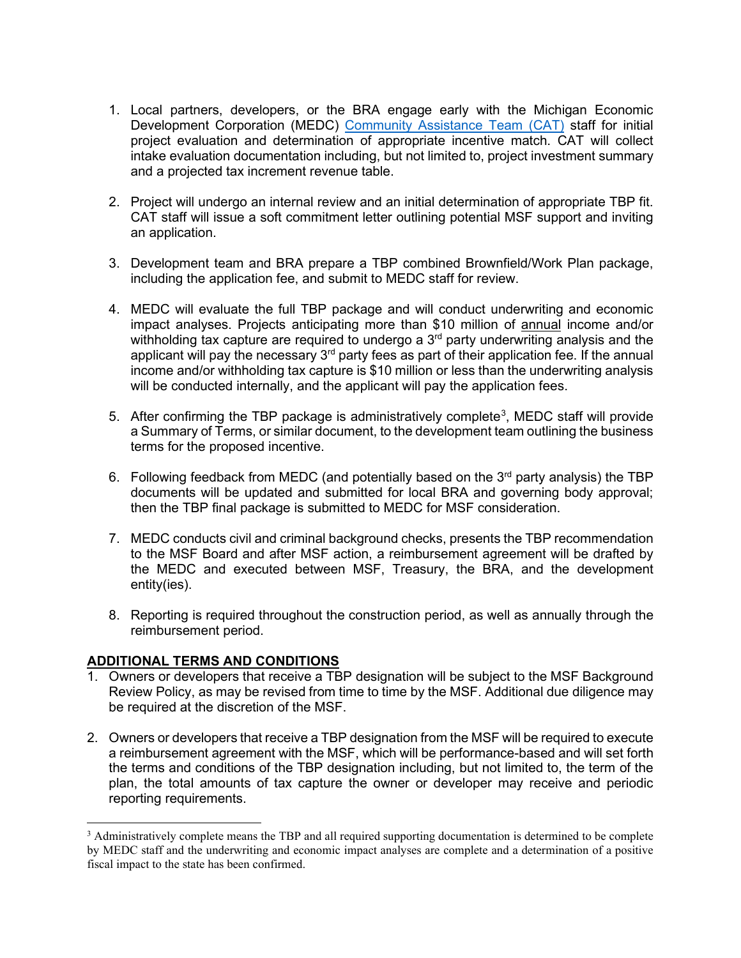- 1. Local partners, developers, or the BRA engage early with the Michigan Economic Development Corporation (MEDC) [Community Assistance Team \(CAT\)](https://www.miplace.org/globalassets/media-documents/cateam-map.pdf) staff for initial project evaluation and determination of appropriate incentive match. CAT will collect intake evaluation documentation including, but not limited to, project investment summary and a projected tax increment revenue table.
- 2. Project will undergo an internal review and an initial determination of appropriate TBP fit. CAT staff will issue a soft commitment letter outlining potential MSF support and inviting an application.
- 3. Development team and BRA prepare a TBP combined Brownfield/Work Plan package, including the application fee, and submit to MEDC staff for review.
- 4. MEDC will evaluate the full TBP package and will conduct underwriting and economic impact analyses. Projects anticipating more than \$10 million of annual income and/or withholding tax capture are required to undergo a  $3<sup>rd</sup>$  party underwriting analysis and the applicant will pay the necessary  $3<sup>rd</sup>$  party fees as part of their application fee. If the annual income and/or withholding tax capture is \$10 million or less than the underwriting analysis will be conducted internally, and the applicant will pay the application fees.
- 5. After confirming the TBP package is administratively complete<sup>[3](#page-8-0)</sup>, MEDC staff will provide a Summary of Terms, or similar document, to the development team outlining the business terms for the proposed incentive.
- 6. Following feedback from MEDC (and potentially based on the  $3<sup>rd</sup>$  party analysis) the TBP documents will be updated and submitted for local BRA and governing body approval; then the TBP final package is submitted to MEDC for MSF consideration.
- 7. MEDC conducts civil and criminal background checks, presents the TBP recommendation to the MSF Board and after MSF action, a reimbursement agreement will be drafted by the MEDC and executed between MSF, Treasury, the BRA, and the development entity(ies).
- 8. Reporting is required throughout the construction period, as well as annually through the reimbursement period.

## **ADDITIONAL TERMS AND CONDITIONS**

- 1. Owners or developers that receive a TBP designation will be subject to the MSF Background Review Policy, as may be revised from time to time by the MSF. Additional due diligence may be required at the discretion of the MSF.
- 2. Owners or developers that receive a TBP designation from the MSF will be required to execute a reimbursement agreement with the MSF, which will be performance-based and will set forth the terms and conditions of the TBP designation including, but not limited to, the term of the plan, the total amounts of tax capture the owner or developer may receive and periodic reporting requirements.

<span id="page-8-0"></span><sup>&</sup>lt;sup>3</sup> Administratively complete means the TBP and all required supporting documentation is determined to be complete by MEDC staff and the underwriting and economic impact analyses are complete and a determination of a positive fiscal impact to the state has been confirmed.